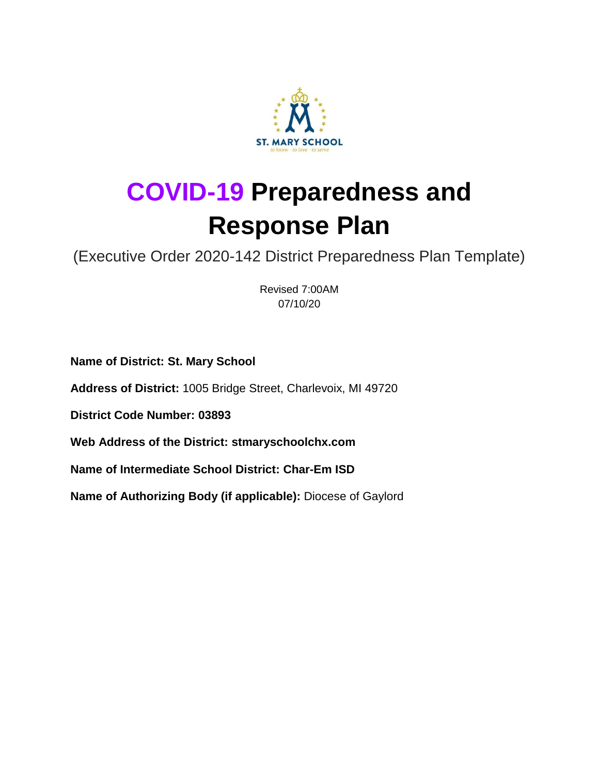

# **COVID-19 Preparedness and Response Plan**

(Executive Order 2020-142 District Preparedness Plan Template)

Revised 7:00AM 07/10/20

**Name of District: St. Mary School**

**Address of District:** 1005 Bridge Street, Charlevoix, MI 49720

**District Code Number: 03893**

**Web Address of the District: stmaryschoolchx.com**

**Name of Intermediate School District: Char-Em ISD**

**Name of Authorizing Body (if applicable):** Diocese of Gaylord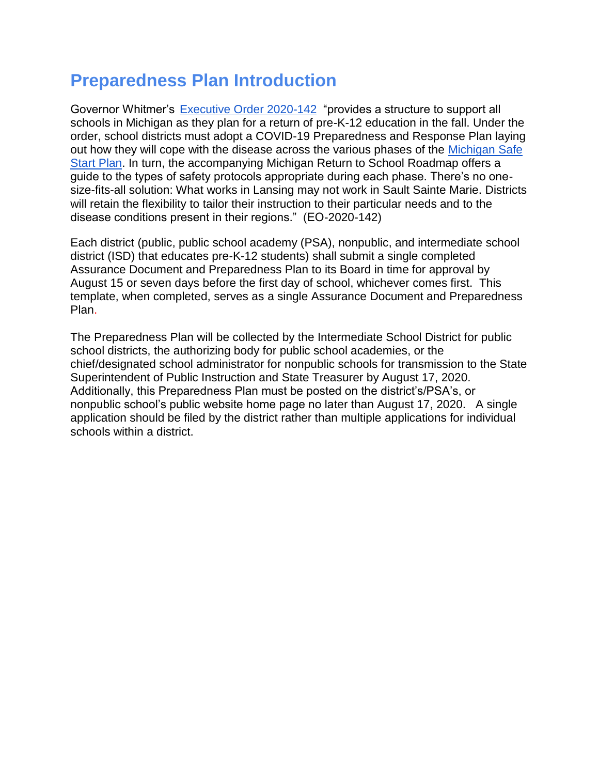### **Preparedness Plan Introduction**

Governor Whitmer's [Executive Order 2020-142](https://content.govdelivery.com/attachments/MIEOG/2020/06/30/file_attachments/1485859/EO%202020-142.pdf) "provides a structure to support all schools in Michigan as they plan for a return of pre-K-12 education in the fall. Under the order, school districts must adopt a COVID-19 Preparedness and Response Plan laying out how they will cope with the disease across the various phases of the [Michigan Safe](https://www.michigan.gov/documents/whitmer/MI_SAFE_START_PLAN_689875_7.pdf)  [Start Plan.](https://www.michigan.gov/documents/whitmer/MI_SAFE_START_PLAN_689875_7.pdf) In turn, the accompanying Michigan Return to School Roadmap offers a guide to the types of safety protocols appropriate during each phase. There's no onesize-fits-all solution: What works in Lansing may not work in Sault Sainte Marie. Districts will retain the flexibility to tailor their instruction to their particular needs and to the disease conditions present in their regions." (EO-2020-142)

Each district (public, public school academy (PSA), nonpublic, and intermediate school district (ISD) that educates pre-K-12 students) shall submit a single completed Assurance Document and Preparedness Plan to its Board in time for approval by August 15 or seven days before the first day of school, whichever comes first. This template, when completed, serves as a single Assurance Document and Preparedness Plan.

The Preparedness Plan will be collected by the Intermediate School District for public school districts, the authorizing body for public school academies, or the chief/designated school administrator for nonpublic schools for transmission to the State Superintendent of Public Instruction and State Treasurer by August 17, 2020. Additionally, this Preparedness Plan must be posted on the district's/PSA's, or nonpublic school's public website home page no later than August 17, 2020. A single application should be filed by the district rather than multiple applications for individual schools within a district.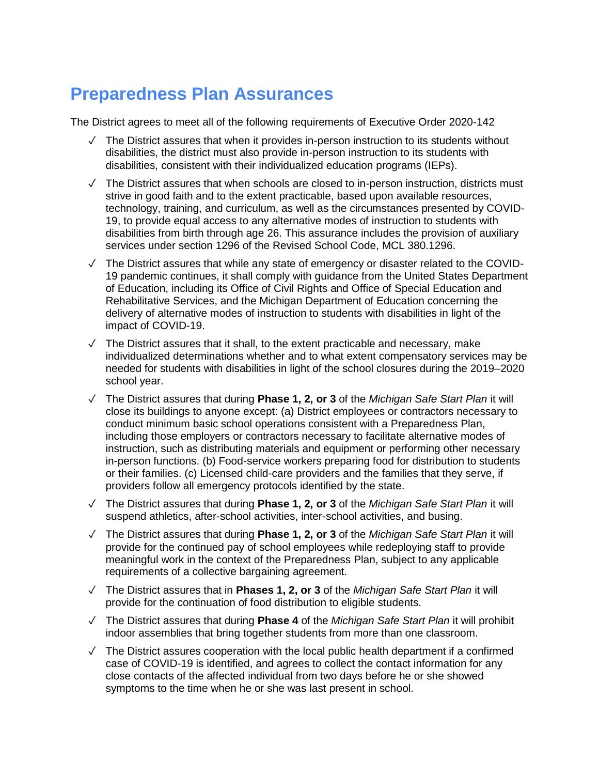## **Preparedness Plan Assurances**

The District agrees to meet all of the following requirements of Executive Order 2020-142

- $\sqrt{ }$  The District assures that when it provides in-person instruction to its students without disabilities, the district must also provide in-person instruction to its students with disabilities, consistent with their individualized education programs (IEPs).
- $\sqrt{ }$  The District assures that when schools are closed to in-person instruction, districts must strive in good faith and to the extent practicable, based upon available resources, technology, training, and curriculum, as well as the circumstances presented by COVID-19, to provide equal access to any alternative modes of instruction to students with disabilities from birth through age 26. This assurance includes the provision of auxiliary services under section 1296 of the Revised School Code, MCL 380.1296.
- ✓ The District assures that while any state of emergency or disaster related to the COVID-19 pandemic continues, it shall comply with guidance from the United States Department of Education, including its Office of Civil Rights and Office of Special Education and Rehabilitative Services, and the Michigan Department of Education concerning the delivery of alternative modes of instruction to students with disabilities in light of the impact of COVID-19.
- $\sqrt{ }$  The District assures that it shall, to the extent practicable and necessary, make individualized determinations whether and to what extent compensatory services may be needed for students with disabilities in light of the school closures during the 2019–2020 school year.
- ✓ The District assures that during **Phase 1, 2, or 3** of the *Michigan Safe Start Plan* it will close its buildings to anyone except: (a) District employees or contractors necessary to conduct minimum basic school operations consistent with a Preparedness Plan, including those employers or contractors necessary to facilitate alternative modes of instruction, such as distributing materials and equipment or performing other necessary in-person functions. (b) Food-service workers preparing food for distribution to students or their families. (c) Licensed child-care providers and the families that they serve, if providers follow all emergency protocols identified by the state.
- ✓ The District assures that during **Phase 1, 2, or 3** of the *Michigan Safe Start Plan* it will suspend athletics, after-school activities, inter-school activities, and busing.
- ✓ The District assures that during **Phase 1, 2, or 3** of the *Michigan Safe Start Plan* it will provide for the continued pay of school employees while redeploying staff to provide meaningful work in the context of the Preparedness Plan, subject to any applicable requirements of a collective bargaining agreement.
- ✓ The District assures that in **Phases 1, 2, or 3** of the *Michigan Safe Start Plan* it will provide for the continuation of food distribution to eligible students.
- ✓ The District assures that during **Phase 4** of the *Michigan Safe Start Plan* it will prohibit indoor assemblies that bring together students from more than one classroom.
- ✓ The District assures cooperation with the local public health department if a confirmed case of COVID-19 is identified, and agrees to collect the contact information for any close contacts of the affected individual from two days before he or she showed symptoms to the time when he or she was last present in school.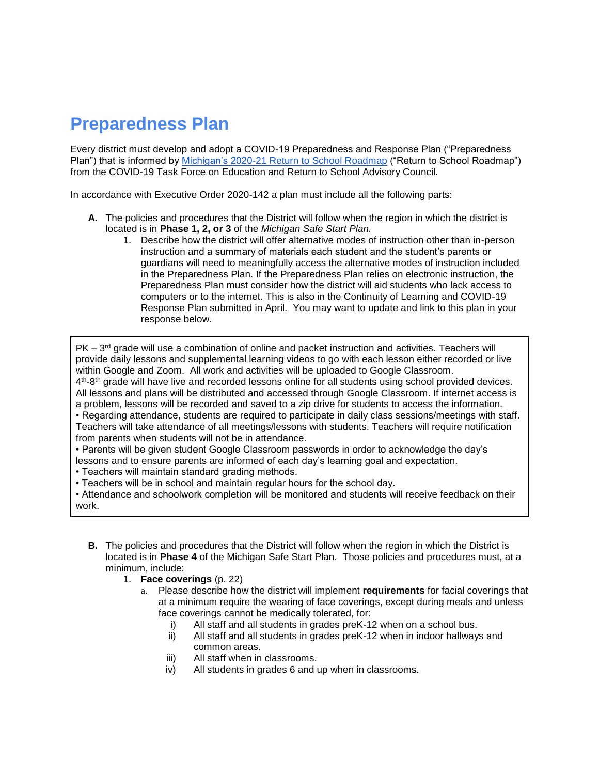# **Preparedness Plan**

Every district must develop and adopt a COVID-19 Preparedness and Response Plan ("Preparedness Plan") that is informed by *Michigan's 2020-21 Return to School Roadmap* ("Return to School Roadmap") from the COVID-19 Task Force on Education and Return to School Advisory Council.

In accordance with Executive Order 2020-142 a plan must include all the following parts:

- **A.** The policies and procedures that the District will follow when the region in which the district is located is in **Phase 1, 2, or 3** of the *Michigan Safe Start Plan.* 
	- 1. Describe how the district will offer alternative modes of instruction other than in-person instruction and a summary of materials each student and the student's parents or guardians will need to meaningfully access the alternative modes of instruction included in the Preparedness Plan. If the Preparedness Plan relies on electronic instruction, the Preparedness Plan must consider how the district will aid students who lack access to computers or to the internet. This is also in the Continuity of Learning and COVID-19 Response Plan submitted in April. You may want to update and link to this plan in your response below.

PK – 3<sup>rd</sup> grade will use a combination of online and packet instruction and activities. Teachers will provide daily lessons and supplemental learning videos to go with each lesson either recorded or live within Google and Zoom. All work and activities will be uploaded to Google Classroom.

4<sup>th</sup>-8<sup>th</sup> grade will have live and recorded lessons online for all students using school provided devices. All lessons and plans will be distributed and accessed through Google Classroom. If internet access is a problem, lessons will be recorded and saved to a zip drive for students to access the information.

• Regarding attendance, students are required to participate in daily class sessions/meetings with staff. Teachers will take attendance of all meetings/lessons with students. Teachers will require notification from parents when students will not be in attendance.

• Parents will be given student Google Classroom passwords in order to acknowledge the day's lessons and to ensure parents are informed of each day's learning goal and expectation.

• Teachers will maintain standard grading methods.

• Teachers will be in school and maintain regular hours for the school day.

• Attendance and schoolwork completion will be monitored and students will receive feedback on their work.

- **B.** The policies and procedures that the District will follow when the region in which the District is located is in **Phase 4** of the Michigan Safe Start Plan. Those policies and procedures must, at a minimum, include:
	- 1. **Face coverings** (p. 22)
		- a. Please describe how the district will implement **requirements** for facial coverings that at a minimum require the wearing of face coverings, except during meals and unless face coverings cannot be medically tolerated, for:
			- i) All staff and all students in grades preK-12 when on a school bus.
			- ii) All staff and all students in grades preK-12 when in indoor hallways and common areas.
			- iii) All staff when in classrooms.
			- iv) All students in grades 6 and up when in classrooms.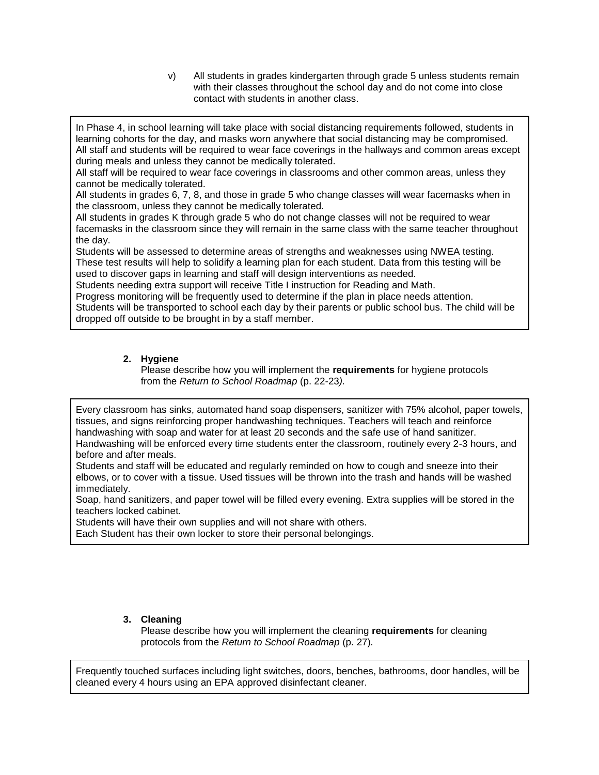v) All students in grades kindergarten through grade 5 unless students remain with their classes throughout the school day and do not come into close contact with students in another class.

In Phase 4, in school learning will take place with social distancing requirements followed, students in learning cohorts for the day, and masks worn anywhere that social distancing may be compromised. All staff and students will be required to wear face coverings in the hallways and common areas except during meals and unless they cannot be medically tolerated.

All staff will be required to wear face coverings in classrooms and other common areas, unless they cannot be medically tolerated.

All students in grades 6, 7, 8, and those in grade 5 who change classes will wear facemasks when in the classroom, unless they cannot be medically tolerated.

All students in grades K through grade 5 who do not change classes will not be required to wear facemasks in the classroom since they will remain in the same class with the same teacher throughout the day.

Students will be assessed to determine areas of strengths and weaknesses using NWEA testing. These test results will help to solidify a learning plan for each student. Data from this testing will be used to discover gaps in learning and staff will design interventions as needed.

Students needing extra support will receive Title I instruction for Reading and Math.

Progress monitoring will be frequently used to determine if the plan in place needs attention.

Students will be transported to school each day by their parents or public school bus. The child will be dropped off outside to be brought in by a staff member.

### **2. Hygiene**

Please describe how you will implement the **requirements** for hygiene protocols from the *Return to School Roadmap* (p. 22-23*).*

Every classroom has sinks, automated hand soap dispensers, sanitizer with 75% alcohol, paper towels, tissues, and signs reinforcing proper handwashing techniques. Teachers will teach and reinforce handwashing with soap and water for at least 20 seconds and the safe use of hand sanitizer. Handwashing will be enforced every time students enter the classroom, routinely every 2-3 hours, and before and after meals.

Students and staff will be educated and regularly reminded on how to cough and sneeze into their elbows, or to cover with a tissue. Used tissues will be thrown into the trash and hands will be washed immediately.

Soap, hand sanitizers, and paper towel will be filled every evening. Extra supplies will be stored in the teachers locked cabinet.

Students will have their own supplies and will not share with others.

Each Student has their own locker to store their personal belongings.

### **3. Cleaning**

Please describe how you will implement the cleaning **requirements** for cleaning protocols from the *Return to School Roadmap* (p. 27)*.*

Frequently touched surfaces including light switches, doors, benches, bathrooms, door handles, will be cleaned every 4 hours using an EPA approved disinfectant cleaner.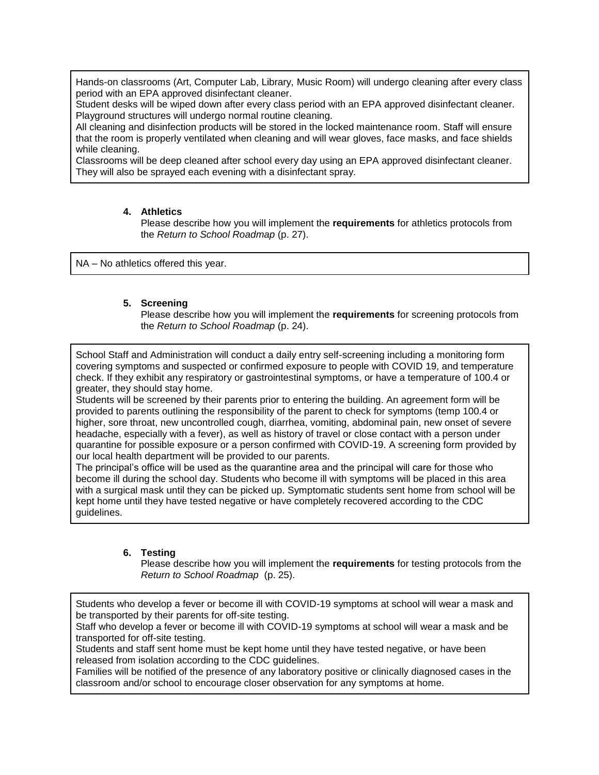Hands-on classrooms (Art, Computer Lab, Library, Music Room) will undergo cleaning after every class period with an EPA approved disinfectant cleaner.

Student desks will be wiped down after every class period with an EPA approved disinfectant cleaner. Playground structures will undergo normal routine cleaning.

All cleaning and disinfection products will be stored in the locked maintenance room. Staff will ensure that the room is properly ventilated when cleaning and will wear gloves, face masks, and face shields while cleaning.

Classrooms will be deep cleaned after school every day using an EPA approved disinfectant cleaner. They will also be sprayed each evening with a disinfectant spray.

#### **4. Athletics**

Please describe how you will implement the **requirements** for athletics protocols from the *Return to School Roadmap* (p. 27).

NA – No athletics offered this year.

#### **5. Screening**

Please describe how you will implement the **requirements** for screening protocols from the *Return to School Roadmap* (p. 24).

School Staff and Administration will conduct a daily entry self-screening including a monitoring form covering symptoms and suspected or confirmed exposure to people with COVID 19, and temperature check. If they exhibit any respiratory or gastrointestinal symptoms, or have a temperature of 100.4 or greater, they should stay home.

Students will be screened by their parents prior to entering the building. An agreement form will be provided to parents outlining the responsibility of the parent to check for symptoms (temp 100.4 or higher, sore throat, new uncontrolled cough, diarrhea, vomiting, abdominal pain, new onset of severe headache, especially with a fever), as well as history of travel or close contact with a person under quarantine for possible exposure or a person confirmed with COVID-19. A screening form provided by our local health department will be provided to our parents.

The principal's office will be used as the quarantine area and the principal will care for those who become ill during the school day. Students who become ill with symptoms will be placed in this area with a surgical mask until they can be picked up. Symptomatic students sent home from school will be kept home until they have tested negative or have completely recovered according to the CDC guidelines.

#### **6. Testing**

Please describe how you will implement the **requirements** for testing protocols from the *Return to School Roadmap* (p. 25).

Students who develop a fever or become ill with COVID-19 symptoms at school will wear a mask and be transported by their parents for off-site testing.

Staff who develop a fever or become ill with COVID-19 symptoms at school will wear a mask and be transported for off-site testing.

Students and staff sent home must be kept home until they have tested negative, or have been released from isolation according to the CDC guidelines.

Families will be notified of the presence of any laboratory positive or clinically diagnosed cases in the classroom and/or school to encourage closer observation for any symptoms at home.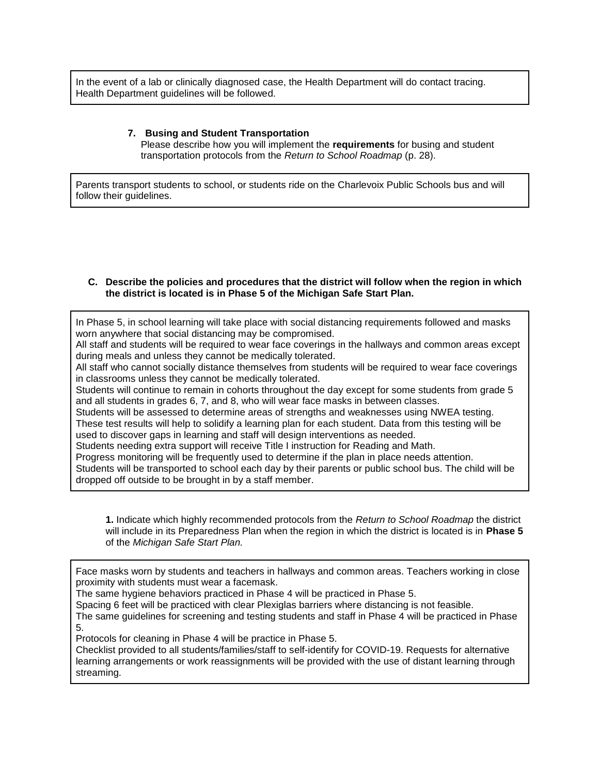In the event of a lab or clinically diagnosed case, the Health Department will do contact tracing. Health Department guidelines will be followed.

#### **7. Busing and Student Transportation**

Please describe how you will implement the **requirements** for busing and student transportation protocols from the *Return to School Roadmap* (p. 28).

Parents transport students to school, or students ride on the Charlevoix Public Schools bus and will follow their guidelines.

#### **C. Describe the policies and procedures that the district will follow when the region in which the district is located is in Phase 5 of the Michigan Safe Start Plan.**

In Phase 5, in school learning will take place with social distancing requirements followed and masks worn anywhere that social distancing may be compromised.

All staff and students will be required to wear face coverings in the hallways and common areas except during meals and unless they cannot be medically tolerated.

All staff who cannot socially distance themselves from students will be required to wear face coverings in classrooms unless they cannot be medically tolerated.

Students will continue to remain in cohorts throughout the day except for some students from grade 5 and all students in grades 6, 7, and 8, who will wear face masks in between classes.

Students will be assessed to determine areas of strengths and weaknesses using NWEA testing. These test results will help to solidify a learning plan for each student. Data from this testing will be used to discover gaps in learning and staff will design interventions as needed.

Students needing extra support will receive Title I instruction for Reading and Math.

Progress monitoring will be frequently used to determine if the plan in place needs attention.

Students will be transported to school each day by their parents or public school bus. The child will be dropped off outside to be brought in by a staff member.

**1.** Indicate which highly recommended protocols from the *Return to School Roadmap* the district will include in its Preparedness Plan when the region in which the district is located is in **Phase 5** of the *Michigan Safe Start Plan.* 

Face masks worn by students and teachers in hallways and common areas. Teachers working in close proximity with students must wear a facemask.

The same hygiene behaviors practiced in Phase 4 will be practiced in Phase 5.

Spacing 6 feet will be practiced with clear Plexiglas barriers where distancing is not feasible.

The same guidelines for screening and testing students and staff in Phase 4 will be practiced in Phase 5.

Protocols for cleaning in Phase 4 will be practice in Phase 5.

Checklist provided to all students/families/staff to self-identify for COVID-19. Requests for alternative learning arrangements or work reassignments will be provided with the use of distant learning through streaming.